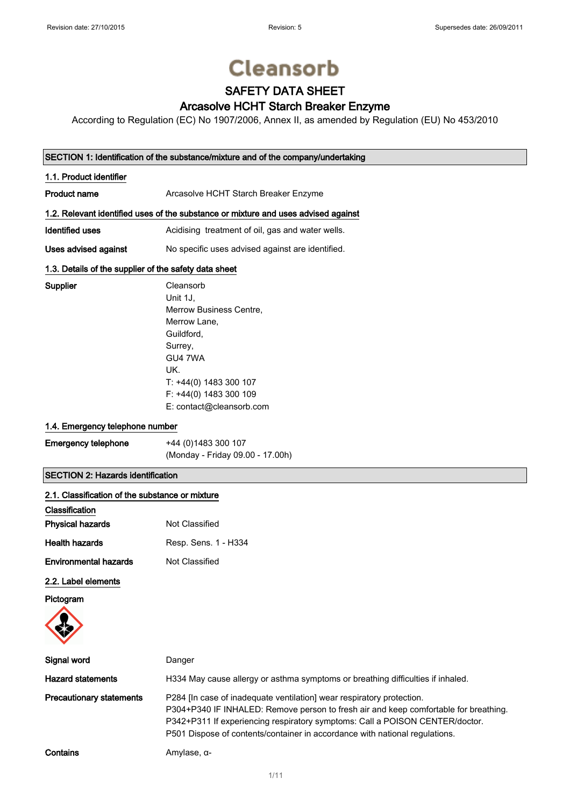# **Cleansorb**

## SAFETY DATA SHEET

### Arcasolve HCHT Starch Breaker Enzyme

According to Regulation (EC) No 1907/2006, Annex II, as amended by Regulation (EU) No 453/2010

### SECTION 1: Identification of the substance/mixture and of the company/undertaking

| 1.1. Product identifier                                                            |                                                  |  |
|------------------------------------------------------------------------------------|--------------------------------------------------|--|
| Product name                                                                       | Arcasolve HCHT Starch Breaker Enzyme             |  |
| 1.2. Relevant identified uses of the substance or mixture and uses advised against |                                                  |  |
| Identified uses                                                                    | Acidising treatment of oil, gas and water wells. |  |
| Uses advised against                                                               | No specific uses advised against are identified. |  |

### 1.3. Details of the supplier of the safety data sheet

| Cleansorb                |
|--------------------------|
| Unit 1J.                 |
| Merrow Business Centre.  |
| Merrow Lane,             |
| Guildford,               |
| Surrey,                  |
| GU4 7WA                  |
| UK.                      |
| T: +44(0) 1483 300 107   |
| F: +44(0) 1483 300 109   |
| E: contact@cleansorb.com |

### 1.4. Emergency telephone number

Supplier

| <b>Emergency telephone</b> | +44 (0) 1483 300 107             |
|----------------------------|----------------------------------|
|                            | (Monday - Friday 09.00 - 17.00h) |

### SECTION 2: Hazards identification

| 2.1. Classification of the substance or mixture |                                                                                                                                                                                                                                                                                                                              |
|-------------------------------------------------|------------------------------------------------------------------------------------------------------------------------------------------------------------------------------------------------------------------------------------------------------------------------------------------------------------------------------|
| Classification                                  |                                                                                                                                                                                                                                                                                                                              |
| <b>Physical hazards</b>                         | Not Classified                                                                                                                                                                                                                                                                                                               |
| <b>Health hazards</b>                           | Resp. Sens. 1 - H334                                                                                                                                                                                                                                                                                                         |
| <b>Environmental hazards</b>                    | Not Classified                                                                                                                                                                                                                                                                                                               |
| 2.2. Label elements                             |                                                                                                                                                                                                                                                                                                                              |
| Pictogram                                       |                                                                                                                                                                                                                                                                                                                              |
| Signal word                                     | Danger                                                                                                                                                                                                                                                                                                                       |
| <b>Hazard statements</b>                        | H334 May cause allergy or asthma symptoms or breathing difficulties if inhaled.                                                                                                                                                                                                                                              |
| <b>Precautionary statements</b>                 | P284 [In case of inadequate ventilation] wear respiratory protection.<br>P304+P340 IF INHALED: Remove person to fresh air and keep comfortable for breathing.<br>P342+P311 If experiencing respiratory symptoms: Call a POISON CENTER/doctor.<br>P501 Dispose of contents/container in accordance with national regulations. |
| Contains                                        | Amylase, $\alpha$ -                                                                                                                                                                                                                                                                                                          |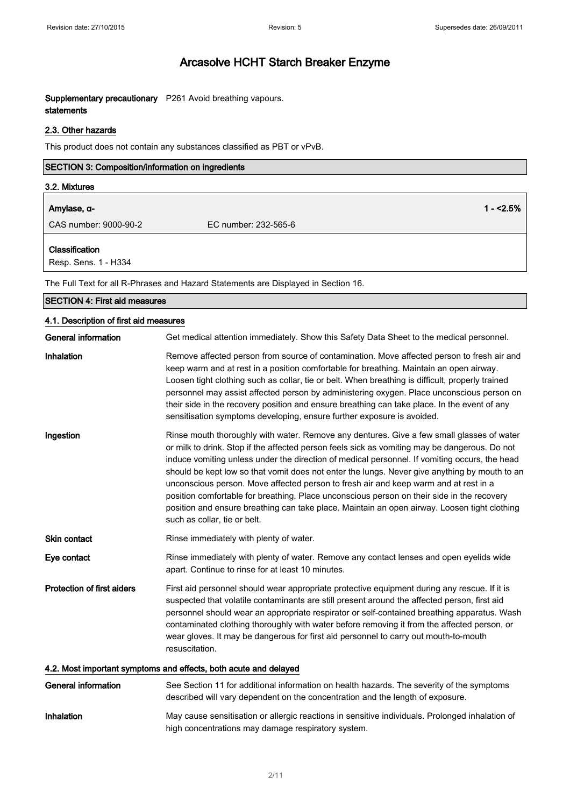Supplementary precautionary P261 Avoid breathing vapours. statements

### 2.3. Other hazards

This product does not contain any substances classified as PBT or vPvB.

| <b>SECTION 3: Composition/information on ingredients</b> |                      |            |
|----------------------------------------------------------|----------------------|------------|
| 3.2. Mixtures                                            |                      |            |
| Amylase, α-                                              |                      | $1 - 2.5%$ |
| CAS number: 9000-90-2                                    | EC number: 232-565-6 |            |
|                                                          |                      |            |

Classification

Resp. Sens. 1 - H334

The Full Text for all R-Phrases and Hazard Statements are Displayed in Section 16.

| The Full Text for all R-Phrases and Hazard Statements are Displayed in Section To. |                                                                                                                                                                                                                                                                                                                                                                                                                                                                                                                                                                                                                                                                                                                    |  |
|------------------------------------------------------------------------------------|--------------------------------------------------------------------------------------------------------------------------------------------------------------------------------------------------------------------------------------------------------------------------------------------------------------------------------------------------------------------------------------------------------------------------------------------------------------------------------------------------------------------------------------------------------------------------------------------------------------------------------------------------------------------------------------------------------------------|--|
| <b>SECTION 4: First aid measures</b>                                               |                                                                                                                                                                                                                                                                                                                                                                                                                                                                                                                                                                                                                                                                                                                    |  |
| 4.1. Description of first aid measures                                             |                                                                                                                                                                                                                                                                                                                                                                                                                                                                                                                                                                                                                                                                                                                    |  |
| <b>General information</b>                                                         | Get medical attention immediately. Show this Safety Data Sheet to the medical personnel.                                                                                                                                                                                                                                                                                                                                                                                                                                                                                                                                                                                                                           |  |
| Inhalation                                                                         | Remove affected person from source of contamination. Move affected person to fresh air and<br>keep warm and at rest in a position comfortable for breathing. Maintain an open airway.<br>Loosen tight clothing such as collar, tie or belt. When breathing is difficult, properly trained<br>personnel may assist affected person by administering oxygen. Place unconscious person on<br>their side in the recovery position and ensure breathing can take place. In the event of any<br>sensitisation symptoms developing, ensure further exposure is avoided.                                                                                                                                                   |  |
| Ingestion                                                                          | Rinse mouth thoroughly with water. Remove any dentures. Give a few small glasses of water<br>or milk to drink. Stop if the affected person feels sick as vomiting may be dangerous. Do not<br>induce vomiting unless under the direction of medical personnel. If vomiting occurs, the head<br>should be kept low so that vomit does not enter the lungs. Never give anything by mouth to an<br>unconscious person. Move affected person to fresh air and keep warm and at rest in a<br>position comfortable for breathing. Place unconscious person on their side in the recovery<br>position and ensure breathing can take place. Maintain an open airway. Loosen tight clothing<br>such as collar, tie or belt. |  |
| Skin contact                                                                       | Rinse immediately with plenty of water.                                                                                                                                                                                                                                                                                                                                                                                                                                                                                                                                                                                                                                                                            |  |
| Eye contact                                                                        | Rinse immediately with plenty of water. Remove any contact lenses and open eyelids wide<br>apart. Continue to rinse for at least 10 minutes.                                                                                                                                                                                                                                                                                                                                                                                                                                                                                                                                                                       |  |
| <b>Protection of first aiders</b>                                                  | First aid personnel should wear appropriate protective equipment during any rescue. If it is<br>suspected that volatile contaminants are still present around the affected person, first aid<br>personnel should wear an appropriate respirator or self-contained breathing apparatus. Wash<br>contaminated clothing thoroughly with water before removing it from the affected person, or<br>wear gloves. It may be dangerous for first aid personnel to carry out mouth-to-mouth<br>resuscitation.                                                                                                                                                                                                               |  |
| 4.2. Most important symptoms and effects, both acute and delayed                   |                                                                                                                                                                                                                                                                                                                                                                                                                                                                                                                                                                                                                                                                                                                    |  |
| <b>General information</b>                                                         | See Section 11 for additional information on health hazards. The severity of the symptoms<br>described will vary dependent on the concentration and the length of exposure.                                                                                                                                                                                                                                                                                                                                                                                                                                                                                                                                        |  |

Inhalation May cause sensitisation or allergic reactions in sensitive individuals. Prolonged inhalation of high concentrations may damage respiratory system.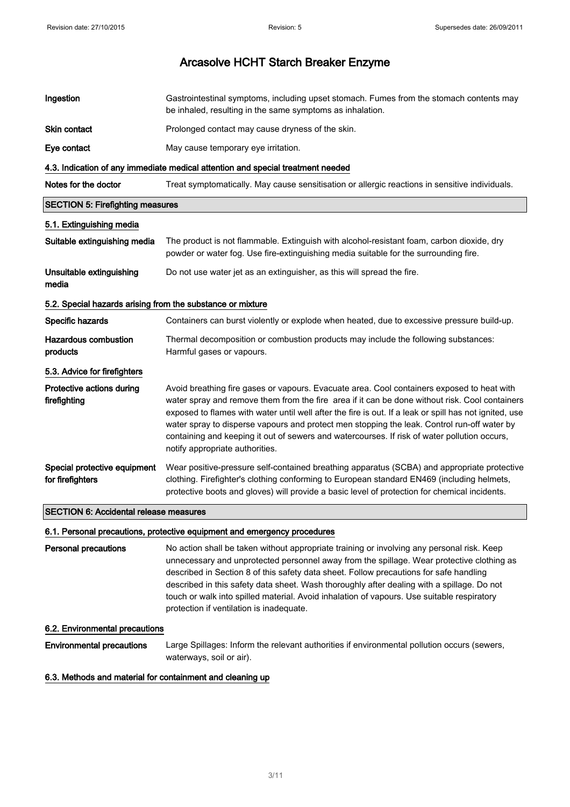| Ingestion                                                  | Gastrointestinal symptoms, including upset stomach. Fumes from the stomach contents may<br>be inhaled, resulting in the same symptoms as inhalation.                                                                                                                                                                                                                                                                                                                                                                                     |
|------------------------------------------------------------|------------------------------------------------------------------------------------------------------------------------------------------------------------------------------------------------------------------------------------------------------------------------------------------------------------------------------------------------------------------------------------------------------------------------------------------------------------------------------------------------------------------------------------------|
| <b>Skin contact</b>                                        | Prolonged contact may cause dryness of the skin.                                                                                                                                                                                                                                                                                                                                                                                                                                                                                         |
| Eye contact                                                | May cause temporary eye irritation.                                                                                                                                                                                                                                                                                                                                                                                                                                                                                                      |
|                                                            | 4.3. Indication of any immediate medical attention and special treatment needed                                                                                                                                                                                                                                                                                                                                                                                                                                                          |
| Notes for the doctor                                       | Treat symptomatically. May cause sensitisation or allergic reactions in sensitive individuals.                                                                                                                                                                                                                                                                                                                                                                                                                                           |
| <b>SECTION 5: Firefighting measures</b>                    |                                                                                                                                                                                                                                                                                                                                                                                                                                                                                                                                          |
| 5.1. Extinguishing media                                   |                                                                                                                                                                                                                                                                                                                                                                                                                                                                                                                                          |
| Suitable extinguishing media                               | The product is not flammable. Extinguish with alcohol-resistant foam, carbon dioxide, dry<br>powder or water fog. Use fire-extinguishing media suitable for the surrounding fire.                                                                                                                                                                                                                                                                                                                                                        |
| Unsuitable extinguishing<br>media                          | Do not use water jet as an extinguisher, as this will spread the fire.                                                                                                                                                                                                                                                                                                                                                                                                                                                                   |
| 5.2. Special hazards arising from the substance or mixture |                                                                                                                                                                                                                                                                                                                                                                                                                                                                                                                                          |
| Specific hazards                                           | Containers can burst violently or explode when heated, due to excessive pressure build-up.                                                                                                                                                                                                                                                                                                                                                                                                                                               |
| <b>Hazardous combustion</b><br>products                    | Thermal decomposition or combustion products may include the following substances:<br>Harmful gases or vapours.                                                                                                                                                                                                                                                                                                                                                                                                                          |
| 5.3. Advice for firefighters                               |                                                                                                                                                                                                                                                                                                                                                                                                                                                                                                                                          |
| Protective actions during<br>firefighting                  | Avoid breathing fire gases or vapours. Evacuate area. Cool containers exposed to heat with<br>water spray and remove them from the fire area if it can be done without risk. Cool containers<br>exposed to flames with water until well after the fire is out. If a leak or spill has not ignited, use<br>water spray to disperse vapours and protect men stopping the leak. Control run-off water by<br>containing and keeping it out of sewers and watercourses. If risk of water pollution occurs,<br>notify appropriate authorities. |
| Special protective equipment<br>for firefighters           | Wear positive-pressure self-contained breathing apparatus (SCBA) and appropriate protective<br>clothing. Firefighter's clothing conforming to European standard EN469 (including helmets,<br>protective boots and gloves) will provide a basic level of protection for chemical incidents.                                                                                                                                                                                                                                               |
| <b>SECTION 6: Accidental release measures</b>              |                                                                                                                                                                                                                                                                                                                                                                                                                                                                                                                                          |

### 6.1. Personal precautions, protective equipment and emergency procedures

Personal precautions No action shall be taken without appropriate training or involving any personal risk. Keep unnecessary and unprotected personnel away from the spillage. Wear protective clothing as described in Section 8 of this safety data sheet. Follow precautions for safe handling described in this safety data sheet. Wash thoroughly after dealing with a spillage. Do not touch or walk into spilled material. Avoid inhalation of vapours. Use suitable respiratory protection if ventilation is inadequate.

### 6.2. Environmental precautions

Environmental precautions Large Spillages: Inform the relevant authorities if environmental pollution occurs (sewers, waterways, soil or air).

### 6.3. Methods and material for containment and cleaning up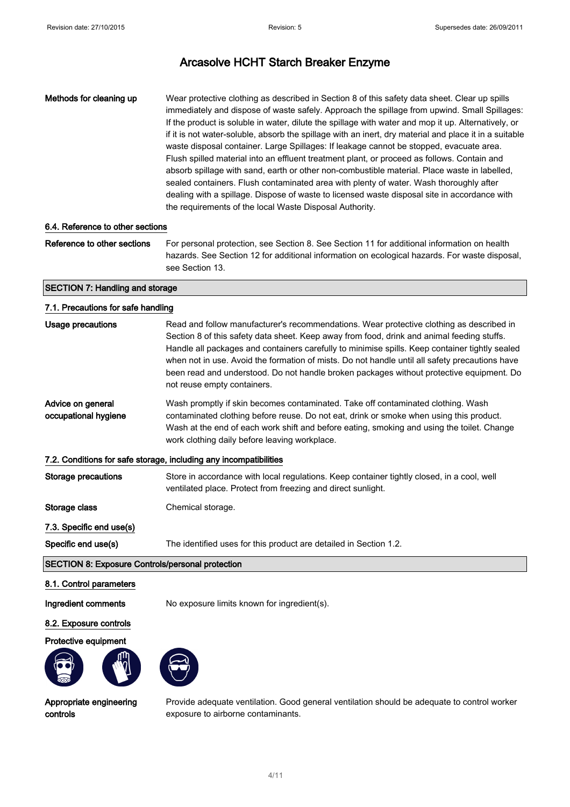Methods for cleaning up Wear protective clothing as described in Section 8 of this safety data sheet. Clear up spills immediately and dispose of waste safely. Approach the spillage from upwind. Small Spillages: If the product is soluble in water, dilute the spillage with water and mop it up. Alternatively, or if it is not water-soluble, absorb the spillage with an inert, dry material and place it in a suitable waste disposal container. Large Spillages: If leakage cannot be stopped, evacuate area. Flush spilled material into an effluent treatment plant, or proceed as follows. Contain and absorb spillage with sand, earth or other non-combustible material. Place waste in labelled, sealed containers. Flush contaminated area with plenty of water. Wash thoroughly after dealing with a spillage. Dispose of waste to licensed waste disposal site in accordance with the requirements of the local Waste Disposal Authority.

### 6.4. Reference to other sections

Reference to other sections For personal protection, see Section 8. See Section 11 for additional information on health hazards. See Section 12 for additional information on ecological hazards. For waste disposal, see Section 13.

### SECTION 7: Handling and storage

### 7.1. Precautions for safe handling

| Usage precautions                                       | Read and follow manufacturer's recommendations. Wear protective clothing as described in<br>Section 8 of this safety data sheet. Keep away from food, drink and animal feeding stuffs.<br>Handle all packages and containers carefully to minimise spills. Keep container tightly sealed<br>when not in use. Avoid the formation of mists. Do not handle until all safety precautions have<br>been read and understood. Do not handle broken packages without protective equipment. Do<br>not reuse empty containers. |
|---------------------------------------------------------|-----------------------------------------------------------------------------------------------------------------------------------------------------------------------------------------------------------------------------------------------------------------------------------------------------------------------------------------------------------------------------------------------------------------------------------------------------------------------------------------------------------------------|
| Advice on general<br>occupational hygiene               | Wash promptly if skin becomes contaminated. Take off contaminated clothing. Wash<br>contaminated clothing before reuse. Do not eat, drink or smoke when using this product.<br>Wash at the end of each work shift and before eating, smoking and using the toilet. Change<br>work clothing daily before leaving workplace.                                                                                                                                                                                            |
|                                                         | 7.2. Conditions for safe storage, including any incompatibilities                                                                                                                                                                                                                                                                                                                                                                                                                                                     |
| Storage precautions                                     | Store in accordance with local regulations. Keep container tightly closed, in a cool, well<br>ventilated place. Protect from freezing and direct sunlight.                                                                                                                                                                                                                                                                                                                                                            |
| Storage class                                           | Chemical storage.                                                                                                                                                                                                                                                                                                                                                                                                                                                                                                     |
| 7.3. Specific end use(s)                                |                                                                                                                                                                                                                                                                                                                                                                                                                                                                                                                       |
| Specific end use(s)                                     | The identified uses for this product are detailed in Section 1.2.                                                                                                                                                                                                                                                                                                                                                                                                                                                     |
| <b>SECTION 8: Exposure Controls/personal protection</b> |                                                                                                                                                                                                                                                                                                                                                                                                                                                                                                                       |

### 8.1. Control parameters

Ingredient comments No exposure limits known for ingredient(s).

### 8.2. Exposure controls

### Protective equipment





Appropriate engineering controls

Provide adequate ventilation. Good general ventilation should be adequate to control worker exposure to airborne contaminants.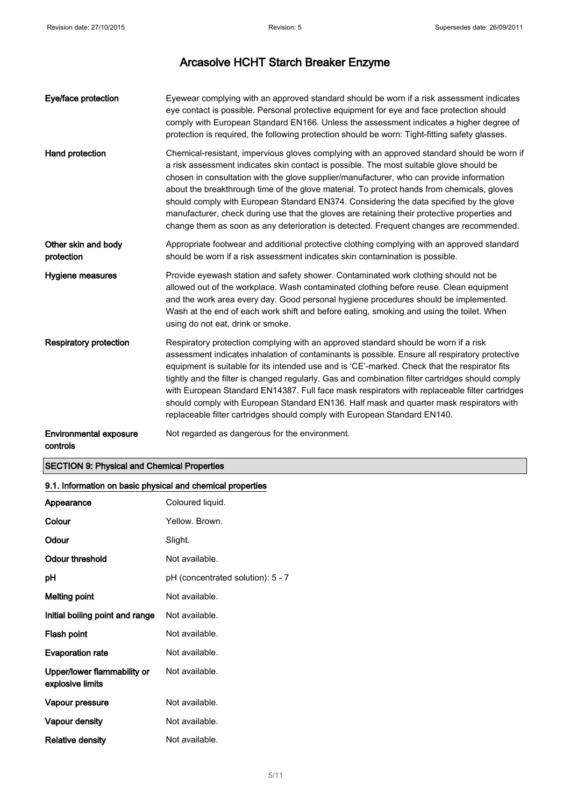| Eye/face protection                       | Eyewear complying with an approved standard should be worn if a risk assessment indicates<br>eye contact is possible. Personal protective equipment for eye and face protection should<br>comply with European Standard EN166. Unless the assessment indicates a higher degree of<br>protection is required, the following protection should be worn: Tight-fitting safety glasses.                                                                                                                                                                                                                                                                                    |
|-------------------------------------------|------------------------------------------------------------------------------------------------------------------------------------------------------------------------------------------------------------------------------------------------------------------------------------------------------------------------------------------------------------------------------------------------------------------------------------------------------------------------------------------------------------------------------------------------------------------------------------------------------------------------------------------------------------------------|
| Hand protection                           | Chemical-resistant, impervious gloves complying with an approved standard should be worn if<br>a risk assessment indicates skin contact is possible. The most suitable glove should be<br>chosen in consultation with the glove supplier/manufacturer, who can provide information<br>about the breakthrough time of the glove material. To protect hands from chemicals, gloves<br>should comply with European Standard EN374. Considering the data specified by the glove<br>manufacturer, check during use that the gloves are retaining their protective properties and<br>change them as soon as any deterioration is detected. Frequent changes are recommended. |
| Other skin and body<br>protection         | Appropriate footwear and additional protective clothing complying with an approved standard<br>should be worn if a risk assessment indicates skin contamination is possible.                                                                                                                                                                                                                                                                                                                                                                                                                                                                                           |
| Hygiene measures                          | Provide eyewash station and safety shower. Contaminated work clothing should not be<br>allowed out of the workplace. Wash contaminated clothing before reuse. Clean equipment<br>and the work area every day. Good personal hygiene procedures should be implemented.<br>Wash at the end of each work shift and before eating, smoking and using the toilet. When<br>using do not eat, drink or smoke.                                                                                                                                                                                                                                                                 |
| <b>Respiratory protection</b>             | Respiratory protection complying with an approved standard should be worn if a risk<br>assessment indicates inhalation of contaminants is possible. Ensure all respiratory protective<br>equipment is suitable for its intended use and is 'CE'-marked. Check that the respirator fits<br>tightly and the filter is changed regularly. Gas and combination filter cartridges should comply<br>with European Standard EN14387. Full face mask respirators with replaceable filter cartridges<br>should comply with European Standard EN136. Half mask and quarter mask respirators with<br>replaceable filter cartridges should comply with European Standard EN140.    |
| <b>Environmental exposure</b><br>controls | Not regarded as dangerous for the environment.                                                                                                                                                                                                                                                                                                                                                                                                                                                                                                                                                                                                                         |

### SECTION 9: Physical and Chemical Properties

### 9.1. Information on basic physical and chemical properties

| Appearance                                      | Coloured liquid.                  |
|-------------------------------------------------|-----------------------------------|
| Colour                                          | Yellow, Brown,                    |
| Odour                                           | Slight.                           |
| Odour threshold                                 | Not available.                    |
| рH                                              | pH (concentrated solution): 5 - 7 |
| Melting point                                   | Not available.                    |
| Initial boiling point and range                 | Not available.                    |
| Flash point                                     | Not available.                    |
| <b>Evaporation rate</b>                         | Not available.                    |
| Upper/lower flammability or<br>explosive limits | Not available.                    |
| Vapour pressure                                 | Not available.                    |
| Vapour density                                  | Not available.                    |
| Relative density                                | Not available.                    |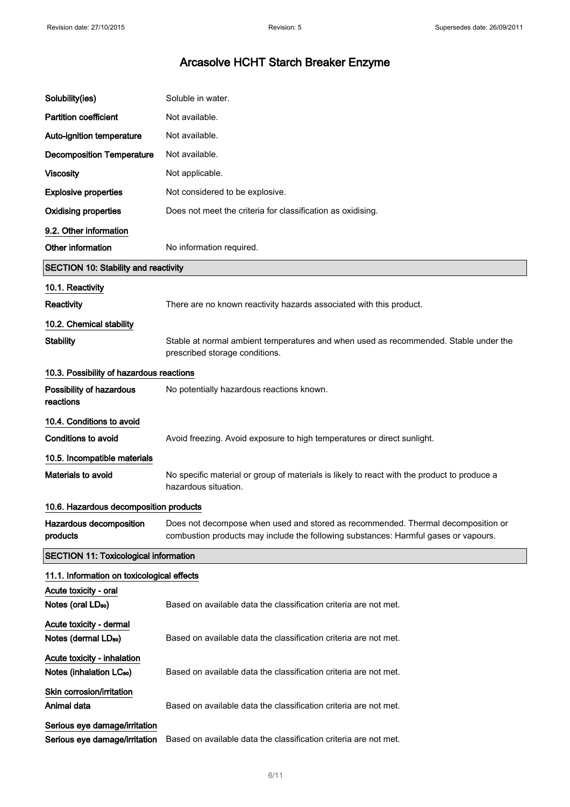| Solubility(ies)                                                     | Soluble in water.                                                                                                                                                       |  |
|---------------------------------------------------------------------|-------------------------------------------------------------------------------------------------------------------------------------------------------------------------|--|
| <b>Partition coefficient</b>                                        | Not available.                                                                                                                                                          |  |
| Auto-ignition temperature                                           | Not available.                                                                                                                                                          |  |
| <b>Decomposition Temperature</b>                                    | Not available.                                                                                                                                                          |  |
| <b>Viscosity</b>                                                    | Not applicable.                                                                                                                                                         |  |
| <b>Explosive properties</b>                                         | Not considered to be explosive.                                                                                                                                         |  |
| <b>Oxidising properties</b>                                         | Does not meet the criteria for classification as oxidising.                                                                                                             |  |
| 9.2. Other information                                              |                                                                                                                                                                         |  |
| Other information                                                   | No information required.                                                                                                                                                |  |
| <b>SECTION 10: Stability and reactivity</b>                         |                                                                                                                                                                         |  |
| 10.1. Reactivity                                                    |                                                                                                                                                                         |  |
| Reactivity                                                          | There are no known reactivity hazards associated with this product.                                                                                                     |  |
| 10.2. Chemical stability                                            |                                                                                                                                                                         |  |
| <b>Stability</b>                                                    | Stable at normal ambient temperatures and when used as recommended. Stable under the<br>prescribed storage conditions.                                                  |  |
| 10.3. Possibility of hazardous reactions                            |                                                                                                                                                                         |  |
| Possibility of hazardous<br>reactions                               | No potentially hazardous reactions known.                                                                                                                               |  |
| 10.4. Conditions to avoid                                           |                                                                                                                                                                         |  |
| <b>Conditions to avoid</b>                                          | Avoid freezing. Avoid exposure to high temperatures or direct sunlight.                                                                                                 |  |
| 10.5. Incompatible materials                                        |                                                                                                                                                                         |  |
| Materials to avoid                                                  | No specific material or group of materials is likely to react with the product to produce a<br>hazardous situation.                                                     |  |
| 10.6. Hazardous decomposition products                              |                                                                                                                                                                         |  |
| Hazardous decomposition<br>products                                 | Does not decompose when used and stored as recommended. Thermal decomposition or<br>combustion products may include the following substances: Harmful gases or vapours. |  |
| <b>SECTION 11: Toxicological information</b>                        |                                                                                                                                                                         |  |
| 11.1. Information on toxicological effects                          |                                                                                                                                                                         |  |
| Acute toxicity - oral<br>Notes (oral LD <sub>50</sub> )             | Based on available data the classification criteria are not met.                                                                                                        |  |
| Acute toxicity - dermal<br>Notes (dermal LD <sub>50</sub> )         | Based on available data the classification criteria are not met.                                                                                                        |  |
| Acute toxicity - inhalation<br>Notes (inhalation LC <sub>50</sub> ) | Based on available data the classification criteria are not met.                                                                                                        |  |
| Skin corrosion/irritation<br>Animal data                            | Based on available data the classification criteria are not met.                                                                                                        |  |
| Serious eye damage/irritation<br>Serious eye damage/irritation      | Based on available data the classification criteria are not met.                                                                                                        |  |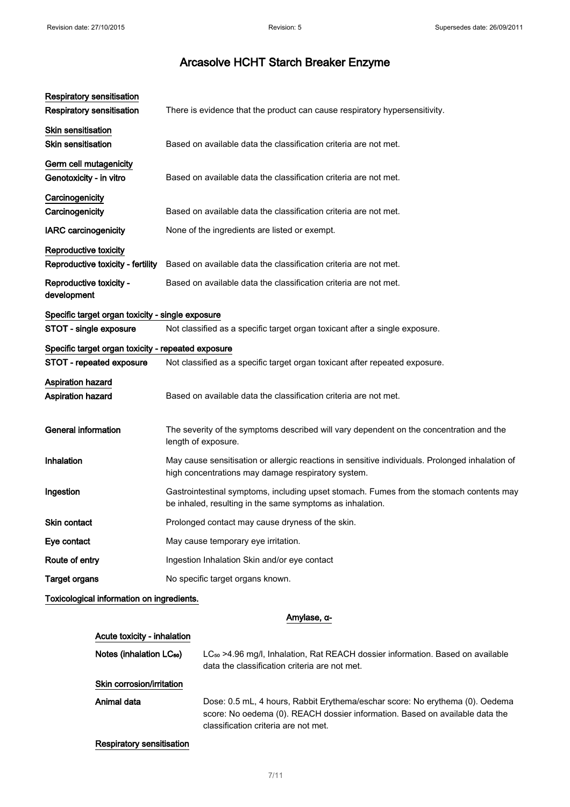| <b>Respiratory sensitisation</b><br><b>Respiratory sensitisation</b> | There is evidence that the product can cause respiratory hypersensitivity.                                                                            |
|----------------------------------------------------------------------|-------------------------------------------------------------------------------------------------------------------------------------------------------|
| Skin sensitisation<br><b>Skin sensitisation</b>                      | Based on available data the classification criteria are not met.                                                                                      |
| Germ cell mutagenicity<br>Genotoxicity - in vitro                    | Based on available data the classification criteria are not met.                                                                                      |
| Carcinogenicity<br>Carcinogenicity                                   | Based on available data the classification criteria are not met.                                                                                      |
| <b>IARC</b> carcinogenicity                                          | None of the ingredients are listed or exempt.                                                                                                         |
| Reproductive toxicity<br>Reproductive toxicity - fertility           | Based on available data the classification criteria are not met.                                                                                      |
| Reproductive toxicity -<br>development                               | Based on available data the classification criteria are not met.                                                                                      |
| Specific target organ toxicity - single exposure                     |                                                                                                                                                       |
| STOT - single exposure                                               | Not classified as a specific target organ toxicant after a single exposure.                                                                           |
| Specific target organ toxicity - repeated exposure                   |                                                                                                                                                       |
| STOT - repeated exposure                                             | Not classified as a specific target organ toxicant after repeated exposure.                                                                           |
| <b>Aspiration hazard</b><br>Aspiration hazard                        | Based on available data the classification criteria are not met.                                                                                      |
| <b>General information</b>                                           | The severity of the symptoms described will vary dependent on the concentration and the<br>length of exposure.                                        |
| Inhalation                                                           | May cause sensitisation or allergic reactions in sensitive individuals. Prolonged inhalation of<br>high concentrations may damage respiratory system. |
| Ingestion                                                            | Gastrointestinal symptoms, including upset stomach. Fumes from the stomach contents may<br>be inhaled, resulting in the same symptoms as inhalation.  |
| Skin contact                                                         | Prolonged contact may cause dryness of the skin.                                                                                                      |
| Eye contact                                                          | May cause temporary eye irritation.                                                                                                                   |
| Route of entry                                                       | Ingestion Inhalation Skin and/or eye contact                                                                                                          |
| <b>Target organs</b>                                                 | No specific target organs known.                                                                                                                      |
| Toxicological information on ingredients.                            |                                                                                                                                                       |

### Amylase, α-

### Acute toxicity - inhalation

Notes (inhalation LC<sub>50</sub>) LC<sub>50</sub> >4.96 mg/l, Inhalation, Rat REACH dossier information. Based on available data the classification criteria are not met.

### Skin corrosion/irritation

Animal data **Dose: 0.5 mL, 4 hours, Rabbit Erythema/eschar score: No erythema (0). Oedema** score: No oedema (0). REACH dossier information. Based on available data the classification criteria are not met.

### Respiratory sensitisation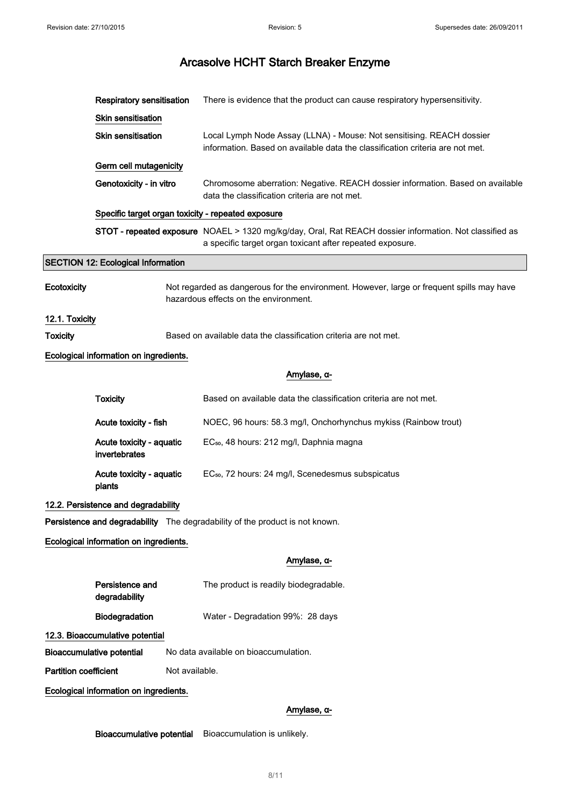|                                        | <b>Respiratory sensitisation</b>                                                                                                   |                | There is evidence that the product can cause respiratory hypersensitivity.                                                                                           |  |  |
|----------------------------------------|------------------------------------------------------------------------------------------------------------------------------------|----------------|----------------------------------------------------------------------------------------------------------------------------------------------------------------------|--|--|
|                                        | Skin sensitisation                                                                                                                 |                |                                                                                                                                                                      |  |  |
|                                        | <b>Skin sensitisation</b>                                                                                                          |                | Local Lymph Node Assay (LLNA) - Mouse: Not sensitising. REACH dossier<br>information. Based on available data the classification criteria are not met.               |  |  |
|                                        | Germ cell mutagenicity                                                                                                             |                |                                                                                                                                                                      |  |  |
|                                        | Genotoxicity - in vitro                                                                                                            |                | Chromosome aberration: Negative. REACH dossier information. Based on available<br>data the classification criteria are not met.                                      |  |  |
|                                        | Specific target organ toxicity - repeated exposure                                                                                 |                |                                                                                                                                                                      |  |  |
|                                        |                                                                                                                                    |                | STOT - repeated exposure NOAEL > 1320 mg/kg/day, Oral, Rat REACH dossier information. Not classified as<br>a specific target organ toxicant after repeated exposure. |  |  |
|                                        | <b>SECTION 12: Ecological Information</b>                                                                                          |                |                                                                                                                                                                      |  |  |
| Ecotoxicity                            | Not regarded as dangerous for the environment. However, large or frequent spills may have<br>hazardous effects on the environment. |                |                                                                                                                                                                      |  |  |
| 12.1. Toxicity                         |                                                                                                                                    |                |                                                                                                                                                                      |  |  |
| Toxicity                               |                                                                                                                                    |                | Based on available data the classification criteria are not met.                                                                                                     |  |  |
|                                        | Ecological information on ingredients.                                                                                             |                |                                                                                                                                                                      |  |  |
|                                        |                                                                                                                                    |                | Amylase, α-                                                                                                                                                          |  |  |
|                                        | <b>Toxicity</b>                                                                                                                    |                | Based on available data the classification criteria are not met.                                                                                                     |  |  |
|                                        | Acute toxicity - fish                                                                                                              |                | NOEC, 96 hours: 58.3 mg/l, Onchorhynchus mykiss (Rainbow trout)                                                                                                      |  |  |
|                                        | Acute toxicity - aquatic<br>invertebrates                                                                                          |                | EC <sub>50</sub> , 48 hours: 212 mg/l, Daphnia magna                                                                                                                 |  |  |
|                                        | Acute toxicity - aquatic<br>plants                                                                                                 |                | EC <sub>50</sub> , 72 hours: 24 mg/l, Scenedesmus subspicatus                                                                                                        |  |  |
|                                        | 12.2. Persistence and degradability                                                                                                |                |                                                                                                                                                                      |  |  |
|                                        |                                                                                                                                    |                | Persistence and degradability The degradability of the product is not known.                                                                                         |  |  |
|                                        | Ecological information on ingredients.                                                                                             |                |                                                                                                                                                                      |  |  |
|                                        |                                                                                                                                    |                | Amylase, α-                                                                                                                                                          |  |  |
|                                        | Persistence and<br>degradability                                                                                                   |                | The product is readily biodegradable.                                                                                                                                |  |  |
|                                        | Biodegradation                                                                                                                     |                | Water - Degradation 99%: 28 days                                                                                                                                     |  |  |
|                                        | 12.3. Bioaccumulative potential                                                                                                    |                |                                                                                                                                                                      |  |  |
|                                        | <b>Bioaccumulative potential</b>                                                                                                   |                | No data available on bioaccumulation.                                                                                                                                |  |  |
| <b>Partition coefficient</b>           |                                                                                                                                    | Not available. |                                                                                                                                                                      |  |  |
| Ecological information on ingredients. |                                                                                                                                    |                |                                                                                                                                                                      |  |  |
|                                        |                                                                                                                                    |                | Amylase, α-                                                                                                                                                          |  |  |
|                                        |                                                                                                                                    |                |                                                                                                                                                                      |  |  |

Bioaccumulative potential Bioaccumulation is unlikely.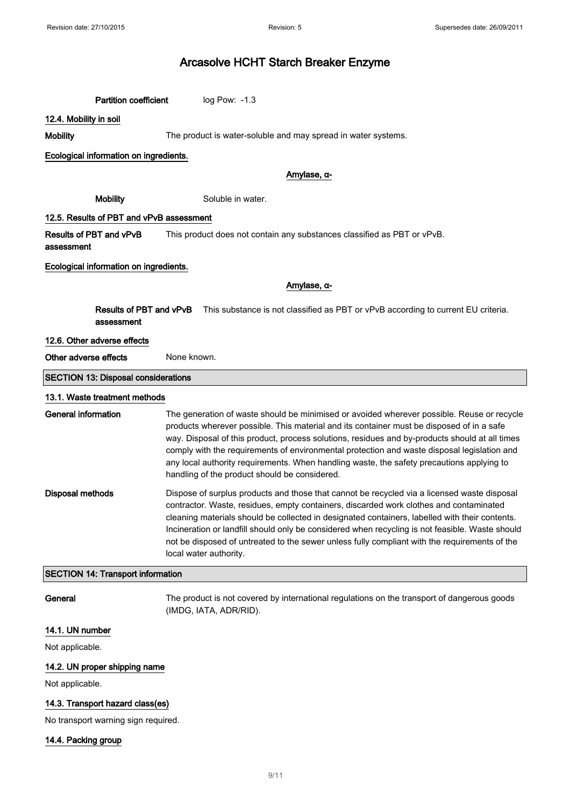Partition coefficient log Pow: -1.3

### 12.4. Mobility in soil

Mobility **Mobility** The product is water-soluble and may spread in water systems.

### Ecological information on ingredients.

### Amylase, α-

Mobility Soluble in water.

### 12.5. Results of PBT and vPvB assessment

Results of PBT and vPvB assessment This product does not contain any substances classified as PBT or vPvB.

### Ecological information on ingredients.

Amylase, α-

Results of PBT and vPvB assessment This substance is not classified as PBT or vPvB according to current EU criteria.

### 12.6. Other adverse effects

Other adverse effects None known.

### SECTION 13: Disposal considerations

#### 13.1. Waste treatment methods

| General information | The generation of waste should be minimised or avoided wherever possible. Reuse or recycle<br>products wherever possible. This material and its container must be disposed of in a safe<br>way. Disposal of this product, process solutions, residues and by-products should at all times<br>comply with the requirements of environmental protection and waste disposal legislation and<br>any local authority requirements. When handling waste, the safety precautions applying to<br>handling of the product should be considered. |
|---------------------|----------------------------------------------------------------------------------------------------------------------------------------------------------------------------------------------------------------------------------------------------------------------------------------------------------------------------------------------------------------------------------------------------------------------------------------------------------------------------------------------------------------------------------------|
| Disposal methods    | Dispose of surplus products and those that cannot be recycled via a licensed waste disposal<br>contractor. Waste, residues, empty containers, discarded work clothes and contaminated<br>cleaning materials should be collected in designated containers, labelled with their contents.<br>Incineration or landfill should only be considered when recycling is not feasible. Waste should<br>not be disposed of untreated to the sewer unless fully compliant with the requirements of the<br>local water authority.                  |

### SECTION 14: Transport information

General The product is not covered by international regulations on the transport of dangerous goods (IMDG, IATA, ADR/RID).

### 14.1. UN number

Not applicable.

### 14.2. UN proper shipping name

Not applicable.

### 14.3. Transport hazard class(es)

No transport warning sign required.

### 14.4. Packing group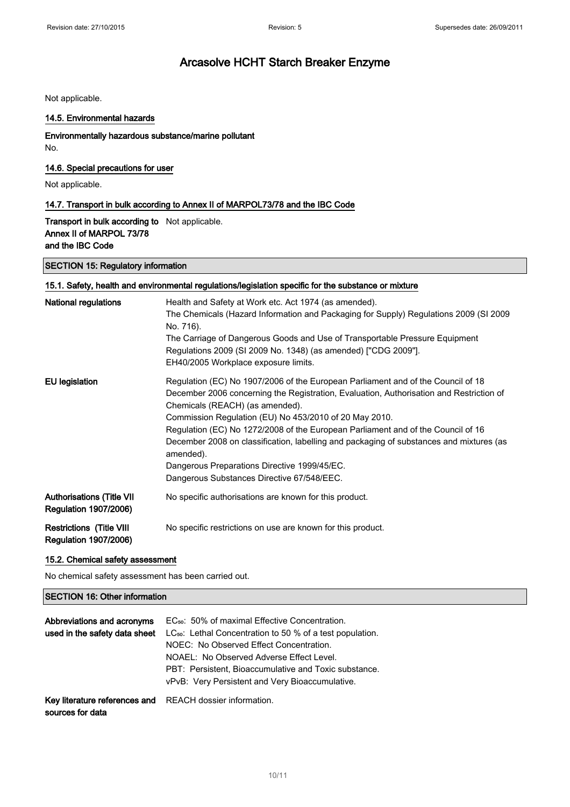Not applicable.

### 14.5. Environmental hazards

### Environmentally hazardous substance/marine pollutant

No.

### 14.6. Special precautions for user

Not applicable.

### 14.7. Transport in bulk according to Annex II of MARPOL73/78 and the IBC Code

Transport in bulk according to Not applicable. Annex II of MARPOL 73/78 and the IBC Code

### SECTION 15: Regulatory information

### 15.1. Safety, health and environmental regulations/legislation specific for the substance or mixture

| National regulations                                             | Health and Safety at Work etc. Act 1974 (as amended).<br>The Chemicals (Hazard Information and Packaging for Supply) Regulations 2009 (SI 2009<br>No. 716).<br>The Carriage of Dangerous Goods and Use of Transportable Pressure Equipment<br>Regulations 2009 (SI 2009 No. 1348) (as amended) ["CDG 2009"].<br>EH40/2005 Workplace exposure limits.                                                                                                                                                                                                               |
|------------------------------------------------------------------|--------------------------------------------------------------------------------------------------------------------------------------------------------------------------------------------------------------------------------------------------------------------------------------------------------------------------------------------------------------------------------------------------------------------------------------------------------------------------------------------------------------------------------------------------------------------|
| EU legislation                                                   | Regulation (EC) No 1907/2006 of the European Parliament and of the Council of 18<br>December 2006 concerning the Registration, Evaluation, Authorisation and Restriction of<br>Chemicals (REACH) (as amended).<br>Commission Regulation (EU) No 453/2010 of 20 May 2010.<br>Regulation (EC) No 1272/2008 of the European Parliament and of the Council of 16<br>December 2008 on classification, labelling and packaging of substances and mixtures (as<br>amended).<br>Dangerous Preparations Directive 1999/45/EC.<br>Dangerous Substances Directive 67/548/EEC. |
| <b>Authorisations (Title VII</b><br><b>Regulation 1907/2006)</b> | No specific authorisations are known for this product.                                                                                                                                                                                                                                                                                                                                                                                                                                                                                                             |
| <b>Restrictions (Title VIII</b><br><b>Regulation 1907/2006)</b>  | No specific restrictions on use are known for this product.                                                                                                                                                                                                                                                                                                                                                                                                                                                                                                        |

### 15.2. Chemical safety assessment

No chemical safety assessment has been carried out.

### SECTION 16: Other information

| Abbreviations and acronyms<br>used in the safety data sheet | EC <sub>50</sub> : 50% of maximal Effective Concentration.<br>LC <sub>50</sub> : Lethal Concentration to 50 % of a test population.<br>NOEC: No Observed Effect Concentration.<br>NOAEL: No Observed Adverse Effect Level.<br>PBT: Persistent, Bioaccumulative and Toxic substance.<br>vPvB: Very Persistent and Very Bioaccumulative. |
|-------------------------------------------------------------|----------------------------------------------------------------------------------------------------------------------------------------------------------------------------------------------------------------------------------------------------------------------------------------------------------------------------------------|
| Key literature references and<br>sources for data           | REACH dossier information.                                                                                                                                                                                                                                                                                                             |